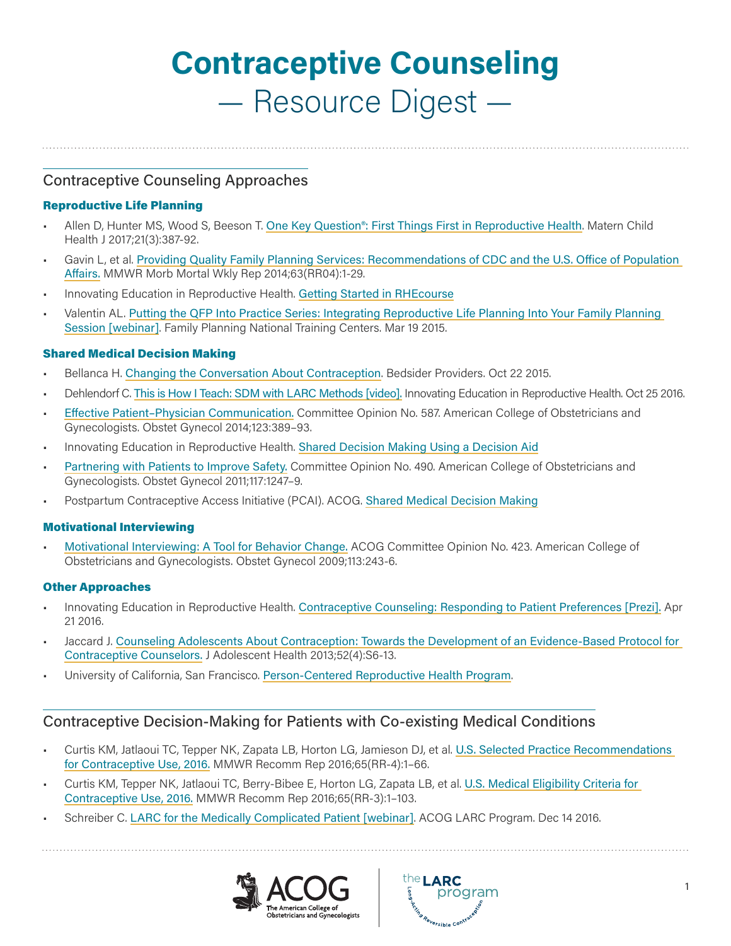# **Contraceptive Counseling** — Resource Digest —

Contraceptive Counseling Approaches

## Reproductive Life Planning

- Allen D, Hunter MS, Wood S, Beeson T. [One Key Question®: First Things First in Reproductive Health](mailto:https://pubmed.ncbi.nlm.nih.gov/28220337/?subject=). Matern Child Health J 2017;21(3):387-92.
- Gavin L, et al. [Providing Quality Family Planning Services: Recommendations of CDC and the U.S. Office of Population](mailto:https://www.cdc.gov/mmwR/preview/mmwrhtml/rr6304a1.htm?subject=)  [Affairs.](mailto:https://www.cdc.gov/mmwR/preview/mmwrhtml/rr6304a1.htm?subject=) MMWR Morb Mortal Wkly Rep 2014;63(RR04):1-29.
- Innovating Education in Reproductive Health. [Getting Started in RHEcourse](mailto:https://www.innovating-education.org/course/rhecourse-faqs/?subject=)
- Valentin AL. [Putting the QFP Into Practice Series: Integrating Reproductive Life Planning Into Your Family Planning](mailto:https://vimeo.com/124050935?subject=)  [Session \[webinar\]](mailto:https://vimeo.com/124050935?subject=). Family Planning National Training Centers. Mar 19 2015.

## Shared Medical Decision Making

- Bellanca H. [Changing the Conversation About Contraception](mailto:https://providers.bedsider.org/articles/changing-the-conversation-about-contraception?subject=). Bedsider Providers. Oct 22 2015.
- Dehlendorf C. [This is How I Teach: SDM with LARC Methods \[video\].](mailto:https://vimeo.com/188913147?subject=) Innovating Education in Reproductive Health. Oct 25 2016.
- [Effective Patient–Physician Communication.](mailto:https://www.acog.org/clinical/clinical-guidance/committee-opinion/articles/2014/02/effective-patient-physician-communication?subject=) Committee Opinion No. 587. American College of Obstetricians and Gynecologists. Obstet Gynecol 2014;123:389–93.
- Innovating Education in Reproductive Health. [Shared Decision Making Using a Decision Aid](mailto:https://www.innovating-education.org/2018/05/shared-decision-making-using-a-decision-aid/?subject=)
- [Partnering with Patients to Improve Safety.](mailto:https://www.acog.org/clinical/clinical-guidance/committee-opinion/articles/2011/05/partnering-with-patients-to-improve-safety?subject=) Committee Opinion No. 490. American College of Obstetricians and Gynecologists. Obstet Gynecol 2011;117:1247–9.
- Postpartum Contraceptive Access Initiative (PCAI). ACOG. [Shared Medical Decision Making](mailto:https://pcainitiative.acog.org/contraceptive-counseling/shared-medical-decision-making/?subject=)

#### Motivational Interviewing

• [Motivational Interviewing: A Tool for Behavior Change.](mailto:https://www.acog.org/clinical/clinical-guidance/committee-opinion/articles/2009/01/motivational-interviewing-a-tool-for-behavior-change?subject=) ACOG Committee Opinion No. 423. American College of Obstetricians and Gynecologists. Obstet Gynecol 2009;113:243-6.

#### Other Approaches

- Innovating Education in Reproductive Health. [Contraceptive Counseling: Responding to Patient Preferences \[Prezi\].](mailto:-%09Innovating%20Education%20in%20Reproductive%20Health.%20Contraceptive%20Counseling:%20Responding%20to%20Patient%20Preferences%20%5BPrezi%5D.%20Apr%2021%202016.%0D-%09Jaccard%20J.%20Counseling%20Adolescents%20About%20Contraception:%20Towards%20the%20Development%20of%20an%20Evidence-Based%20Protocol%20for%20Contraceptive%20Counselors.%20J%20Adolescent%20Health%202013%3B52%284%29:S6-13.%0D-%09University%20of%20California%2C%20San%20Francisco.%20Person-Centered%20Reproductive%20Health%20Program.%0D?subject=) Apr 21 2016.
- Jaccard J. [Counseling Adolescents About Contraception: Towards the Development of an Evidence-Based Protocol for](mailto:https://www.jahonline.org/article/S1054-139X%2813%2900060-8/abstract?subject=)  [Contraceptive Counselors.](mailto:https://www.jahonline.org/article/S1054-139X%2813%2900060-8/abstract?subject=) J Adolescent Health 2013;52(4):S6-13.
- University of California, San Francisco. [Person-Centered Reproductive Health Program](mailto:https://fcm.ucsf.edu/person-centered-reproductive-health-program?subject=).

# Contraceptive Decision-Making for Patients with Co-existing Medical Conditions

- Curtis KM, Jatlaoui TC, Tepper NK, Zapata LB, Horton LG, Jamieson DJ, et al. [U.S. Selected Practice Recommendations](mailto:https://www.cdc.gov/reproductivehealth/contraception/mmwr/spr/summary.html?subject=)  [for Contraceptive Use, 2016.](mailto:https://www.cdc.gov/reproductivehealth/contraception/mmwr/spr/summary.html?subject=) MMWR Recomm Rep 2016;65(RR-4):1–66.
- Curtis KM, Tepper NK, Jatlaoui TC, Berry-Bibee E, Horton LG, Zapata LB, et al. [U.S. Medical Eligibility Criteria for](mailto:https://www.cdc.gov/reproductivehealth/contraception/mmwr/mec/summary.html?subject=)  [Contraceptive Use, 2016.](mailto:https://www.cdc.gov/reproductivehealth/contraception/mmwr/mec/summary.html?subject=) MMWR Recomm Rep 2016;65(RR-3):1–103.
- Schreiber C. [LARC for the Medically Complicated Patient \[webinar\]](mailto:https://www.pathlms.com/acogwebinars/courses/8748?subject=). ACOG LARC Program. Dec 14 2016.



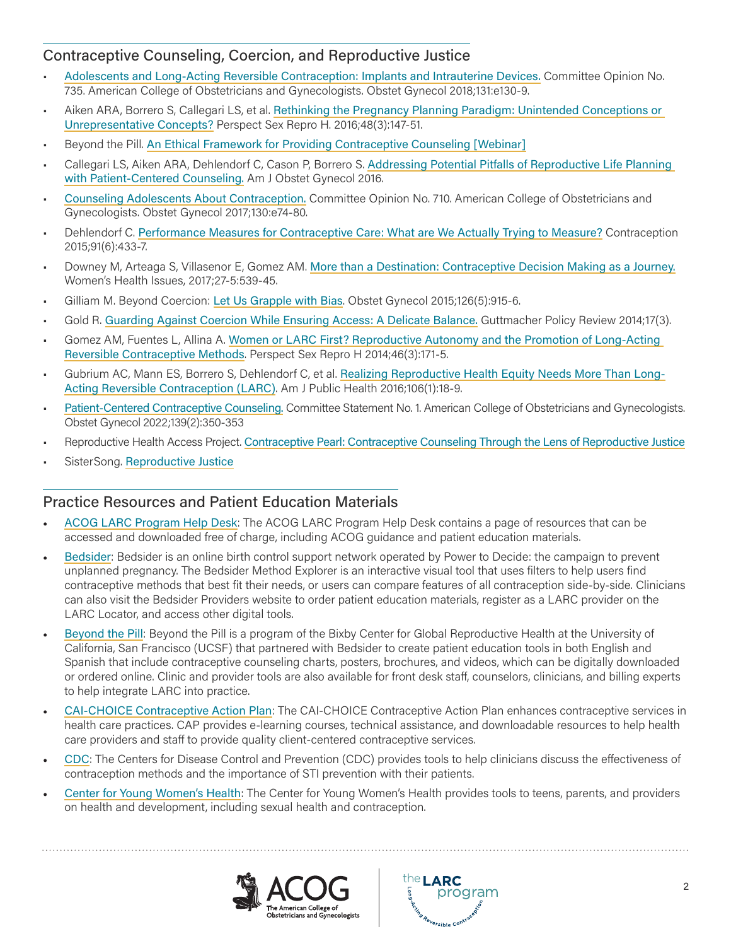## Contraceptive Counseling, Coercion, and Reproductive Justice

- [Adolescents and Long-Acting Reversible Contraception: Implants and Intrauterine Devices.](mailto:https://www.acog.org/clinical/clinical-guidance/committee-opinion/articles/2018/05/adolescents-and-long-acting-reversible-contraception-implants-and-intrauterine-devices?subject=) Committee Opinion No. 735. American College of Obstetricians and Gynecologists. Obstet Gynecol 2018;131:e130-9.
- Aiken ARA, Borrero S, Callegari LS, et al. [Rethinking the Pregnancy Planning Paradigm: Unintended Conceptions or](mailto:https://www.guttmacher.org/about/journals/psrh/2016/09/rethinking-pregnancy-planning-paradigm-unintended-conceptions-or?subject=)  [Unrepresentative Concepts?](mailto:https://www.guttmacher.org/about/journals/psrh/2016/09/rethinking-pregnancy-planning-paradigm-unintended-conceptions-or?subject=) Perspect Sex Repro H. 2016;48(3):147-51.
- Beyond the Pill. [An Ethical Framework for Providing Contraceptive Counseling \[Webinar\]](mailto:https://www.sbh4all.org/events/beyond-the-pill-webinar-series-part-iii-an-ethical-framework-for-providing-contraceptive-counseling/?subject=)
- Callegari LS, Aiken ARA, Dehlendorf C, Cason P, Borrero S. [Addressing Potential Pitfalls of Reproductive Life Planning](mailto:http://www.ajog.org/article/S0002-9378%2816%2930867-5/abstract?subject=)  [with Patient-Centered Counseling.](mailto:http://www.ajog.org/article/S0002-9378%2816%2930867-5/abstract?subject=) Am J Obstet Gynecol 2016.
- [Counseling Adolescents About Contraception.](mailto:https://www.acog.org/clinical/clinical-guidance/committee-opinion/articles/2017/08/counseling-adolescents-about-contraception?subject=) Committee Opinion No. 710. American College of Obstetricians and Gynecologists. Obstet Gynecol 2017;130:e74-80.
- Dehlendorf C. [Performance Measures for Contraceptive Care: What are We Actually Trying to Measure?](mailto:http://www.contraceptionjournal.org/article/S0010-7824%2815%2900045-1/abstract?subject=) Contraception 2015;91(6):433-7.
- Downey M, Arteaga S, Villasenor E, Gomez AM. [More than a Destination: Contraceptive Decision Making as a Journey.](mailto:https://www.whijournal.com/article/S1049-3867%2816%2930089-5/fulltext?subject=) Women's Health Issues, 2017;27-5:539-45.
- Gilliam M. Beyond Coercion: [Let Us Grapple with Bias](mailto:http://journals.lww.com/greenjournal/Fulltext/2015/11000/Beyond_Coercion__Let_Us_Grapple_With_Bias.1.aspx?subject=). Obstet Gynecol 2015;126(5):915-6.
- Gold R. [Guarding Against Coercion While Ensuring Access: A Delicate Balance.](mailto:https://www.guttmacher.org/about/gpr/2014/09/guarding-against-coercion-while-ensuring-access-delicate-balance?subject=) Guttmacher Policy Review 2014;17(3).
- Gomez AM, Fuentes L, Allina A. [Women or LARC First? Reproductive Autonomy and the Promotion of Long-Acting](mailto:https://www.guttmacher.org/about/journals/psrh/2014/05/women-or-larc-first-reproductive-autonomy-and-promotion-long-acting?subject=)  [Reversible Contraceptive Methods](mailto:https://www.guttmacher.org/about/journals/psrh/2014/05/women-or-larc-first-reproductive-autonomy-and-promotion-long-acting?subject=). Perspect Sex Repro H 2014;46(3):171-5.
- Gubrium AC, Mann ES, Borrero S, Dehlendorf C, et al. [Realizing Reproductive Health Equity Needs More Than Long-](mailto:http://ajph.aphapublications.org/doi/abs/10.2105/AJPH.2015.302900?subject=)[Acting Reversible Contraception \(LARC\)](mailto:http://ajph.aphapublications.org/doi/abs/10.2105/AJPH.2015.302900?subject=). Am J Public Health 2016;106(1):18-9.
- [Patient-Centered Contraceptive Counseling.](https://www.acog.org/clinical/clinical-guidance/committee-statement/articles/2022/02/patient-centered-contraceptive-counseling) Committee Statement No. 1. American College of Obstetricians and Gynecologists. Obstet Gynecol 2022;139(2):350-353
- Reproductive Health Access Project. [Contraceptive Pearl: Contraceptive Counseling Through the Lens of Reproductive Justice](mailto:https://www.reproductiveaccess.org/resource/contraceptive-pearl-contraceptive-counseling-through-the-lens-of-reproductive-justice/?subject=)
- SisterSong. [Reproductive Justice](mailto:https://www.sistersong.net/reproductive-justice?subject=)

# Practice Resources and Patient Education Materials

- [ACOG LARC Program Help Desk](mailto:https://acoglarc.freshdesk.com/en/support/home?subject=): The ACOG LARC Program Help Desk contains a page of resources that can be accessed and downloaded free of charge, including ACOG guidance and patient education materials.
- [Bedsider](mailto:http://www.bedsider.org?subject=): Bedsider is an online birth control support network operated by Power to Decide: the campaign to prevent unplanned pregnancy. The Bedsider Method Explorer is an interactive visual tool that uses filters to help users find contraceptive methods that best fit their needs, or users can compare features of all contraception side-by-side. Clinicians can also visit the Bedsider Providers website to order patient education materials, register as a LARC provider on the LARC Locator, and access other digital tools.
- Bevond the Pill: [Beyond the Pill](mailto:http://www.beyondthepill.ucsf.edu/tools-materials?subject=) is a program of the Bixby Center for Global Reproductive Health at the University of California, San Francisco (UCSF) that partnered with Bedsider to create patient education tools in both English and Spanish that include contraceptive counseling charts, posters, brochures, and videos, which can be digitally downloaded or ordered online. Clinic and provider tools are also available for front desk staff, counselors, clinicians, and billing experts to help integrate LARC into practice.
- [CAI-CHOICE Contraceptive Action Plan](mailto:http://www.contraceptiveactionplan.org?subject=): The CAI-CHOICE Contraceptive Action Plan enhances contraceptive services in health care practices. CAP provides e-learning courses, technical assistance, and downloadable resources to help health care providers and staff to provide quality client-centered contraceptive services.
- [CDC](mailto:https://www.cdc.gov/reproductivehealth/contraception/index.htm?subject=): The Centers for Disease Control and Prevention (CDC) provides tools to help clinicians discuss the effectiveness of contraception methods and the importance of STI prevention with their patients.
- [Center for Young Women's Health](mailto:https://youngwomenshealth.org/2014/02/27/contraception/?subject=): The Center for Young Women's Health provides tools to teens, parents, and providers on health and development, including sexual health and contraception.